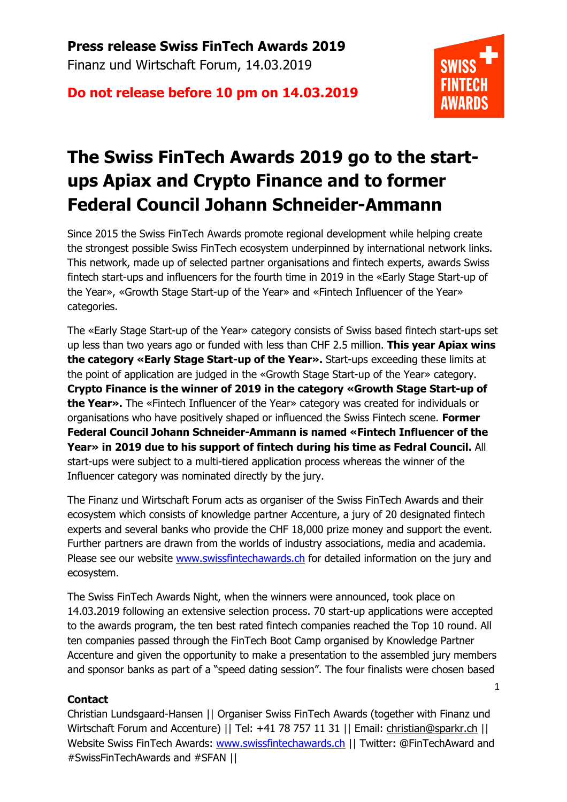**Do not release before 10 pm on 14.03.2019**



1

## **The Swiss FinTech Awards 2019 go to the startups Apiax and Crypto Finance and to former Federal Council Johann Schneider-Ammann**

Since 2015 the Swiss FinTech Awards promote regional development while helping create the strongest possible Swiss FinTech ecosystem underpinned by international network links. This network, made up of selected partner organisations and fintech experts, awards Swiss fintech start-ups and influencers for the fourth time in 2019 in the «Early Stage Start-up of the Year», «Growth Stage Start-up of the Year» and «Fintech Influencer of the Year» categories.

The «Early Stage Start-up of the Year» category consists of Swiss based fintech start-ups set up less than two years ago or funded with less than CHF 2.5 million. **This year Apiax wins the category «Early Stage Start-up of the Year».** Start-ups exceeding these limits at the point of application are judged in the «Growth Stage Start-up of the Year» category. **Crypto Finance is the winner of 2019 in the category «Growth Stage Start-up of the Year».** The «Fintech Influencer of the Year» category was created for individuals or organisations who have positively shaped or influenced the Swiss Fintech scene. **Former Federal Council Johann Schneider-Ammann is named «Fintech Influencer of the Year» in 2019 due to his support of fintech during his time as Fedral Council.** All start-ups were subject to a multi-tiered application process whereas the winner of the Influencer category was nominated directly by the jury.

The Finanz und Wirtschaft Forum acts as organiser of the Swiss FinTech Awards and their ecosystem which consists of knowledge partner Accenture, a jury of 20 designated fintech experts and several banks who provide the CHF 18,000 prize money and support the event. Further partners are drawn from the worlds of industry associations, media and academia. Please see our website www.swissfintechawards.ch for detailed information on the jury and ecosystem.

The Swiss FinTech Awards Night, when the winners were announced, took place on 14.03.2019 following an extensive selection process. 70 start-up applications were accepted to the awards program, the ten best rated fintech companies reached the Top 10 round. All ten companies passed through the FinTech Boot Camp organised by Knowledge Partner Accenture and given the opportunity to make a presentation to the assembled jury members and sponsor banks as part of a "speed dating session". The four finalists were chosen based

### **Contact**

Christian Lundsgaard-Hansen || Organiser Swiss FinTech Awards (together with Finanz und Wirtschaft Forum and Accenture) || Tel: +41 78 757 11 31 || Email: christian@sparkr.ch || Website Swiss FinTech Awards: www.swissfintechawards.ch || Twitter: @FinTechAward and #SwissFinTechAwards and #SFAN ||